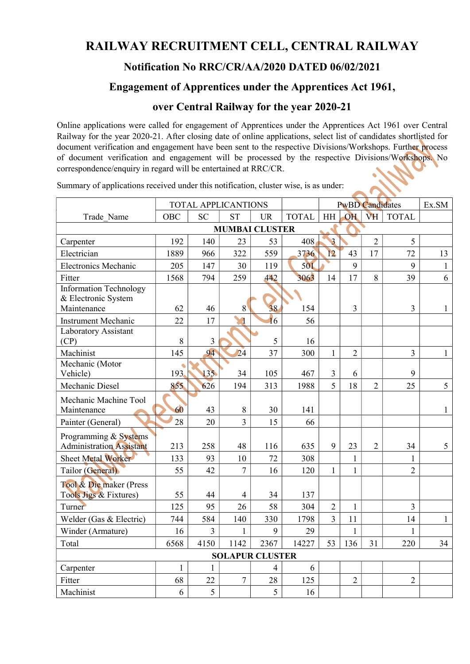## RAILWAY RECRUITMENT CELL, CENTRAL RAILWAY

## Notification No RRC/CR/AA/2020 DATED 06/02/2021

## Engagement of Apprentices under the Apprentices Act 1961,

## over Central Railway for the year 2020-21

Online applications were called for engagement of Apprentices under the Apprentices Act 1961 over Central Railway for the year 2020-21. After closing date of online applications, select list of candidates shortlisted for document verification and engagement have been sent to the respective Divisions/Workshops. Further process of document verification and engagement will be processed by the respective Divisions/Workshops. No correspondence/enquiry in regard will be entertained at RRC/CR.

|                                                                                       | <b>TOTAL APPLICANTIONS</b> |           |                |           |              | <b>PwBD Candidates</b> |                    |                |                    | Ex.SM          |  |
|---------------------------------------------------------------------------------------|----------------------------|-----------|----------------|-----------|--------------|------------------------|--------------------|----------------|--------------------|----------------|--|
| Trade Name                                                                            | <b>OBC</b>                 | <b>SC</b> | <b>ST</b>      | <b>UR</b> | <b>TOTAL</b> | HH                     | OH                 | VH             | <b>TOTAL</b>       |                |  |
| <b>MUMBAI CLUSTER</b>                                                                 |                            |           |                |           |              |                        |                    |                |                    |                |  |
| Carpenter                                                                             | 192                        | 140       | 23             | 53        | 408          | $\overline{3}$         |                    | $\overline{2}$ | 5                  |                |  |
| Electrician                                                                           | 1889                       | 966       | 322            | 559       | 3736         | 12                     | 43                 | 17             | 72                 | 13             |  |
| <b>Electronics Mechanic</b>                                                           | 205                        | 147       | 30             | 119       | 501          |                        | 9                  |                | 9                  | $\mathbf{1}$   |  |
| Fitter                                                                                | 1568                       | 794       | 259            | 442       | 3063         | 14                     | 17                 | 8              | 39                 | 6              |  |
| <b>Information Technology</b><br>& Electronic System<br>Maintenance                   | 62                         | 46        | 8              | 38        | 154          |                        | $\overline{3}$     |                | $\overline{3}$     | $\mathbf{1}$   |  |
| Instrument Mechanic                                                                   | 22                         | 17        | q              | 16        | 56           |                        |                    |                |                    |                |  |
| Laboratory Assistant<br>(CP)                                                          | 8                          | 3         |                | 5         | 16           |                        |                    |                |                    |                |  |
| Machinist                                                                             | 145                        | 94        | 24             | 37        | 300          | $\mathbf{1}$           | $\overline{2}$     |                | $\overline{3}$     | $\mathbf{1}$   |  |
| Mechanic (Motor<br>Vehicle)                                                           | 193.                       | 135       | 34             | 105       | 467          | $\overline{3}$         | 6                  |                | 9                  |                |  |
| Mechanic Diesel                                                                       | 855                        | 626       | 194            | 313       | 1988         | $\overline{5}$         | 18                 | $\overline{2}$ | 25                 | 5 <sup>5</sup> |  |
| Mechanic Machine Tool<br>Maintenance                                                  | 60                         | 43        | $8\,$          | 30        | 141          |                        |                    |                |                    | $\mathbf{1}$   |  |
| Painter (General)                                                                     | 28                         | 20        | $\overline{3}$ | 15        | 66           |                        |                    |                |                    |                |  |
| Programming & Systems<br><b>Administration Assistant</b><br><b>Sheet Metal Worker</b> | 213<br>133                 | 258<br>93 | 48<br>10       | 116<br>72 | 635<br>308   | 9                      | 23<br>$\mathbf{1}$ | $\overline{2}$ | 34<br>$\mathbf{1}$ | 5              |  |
| Tailor (General)                                                                      | 55                         | 42        | $\overline{7}$ | 16        | 120          | $\mathbf{1}$           | $\mathbf{1}$       |                | $\overline{2}$     |                |  |
| Tool & Die maker (Press<br>Tools Jigs & Fixtures)                                     | 55                         | 44        | 4              | 34        | 137          |                        |                    |                |                    |                |  |
| Turner                                                                                | 125                        | 95        | 26             | 58        | 304          | $\overline{2}$         | $\mathbf{1}$       |                | $\overline{3}$     |                |  |
| Welder (Gas & Electric)                                                               | 744                        | 584       | 140            | 330       | 1798         | $\overline{3}$         | 11                 |                | 14                 | $\mathbf{1}$   |  |
| Winder (Armature)                                                                     | 16                         | 3         | 1              | 9         | 29           |                        | $\mathbf{1}$       |                | $\mathbf{1}$       |                |  |
| Total                                                                                 | 6568                       | 4150      | 1142           | 2367      | 14227        | 53                     | 136                | 31             | 220                | 34             |  |
| <b>SOLAPUR CLUSTER</b>                                                                |                            |           |                |           |              |                        |                    |                |                    |                |  |
| Carpenter                                                                             | $\mathbf{1}$               | 1         |                | 4         | 6            |                        |                    |                |                    |                |  |
| Fitter                                                                                | 68                         | 22        | $\overline{7}$ | 28        | 125          |                        | $\overline{2}$     |                | $\overline{2}$     |                |  |
| Machinist                                                                             | 6                          | 5         |                | 5         | 16           |                        |                    |                |                    |                |  |

Summary of applications received under this notification, cluster wise, is as under: